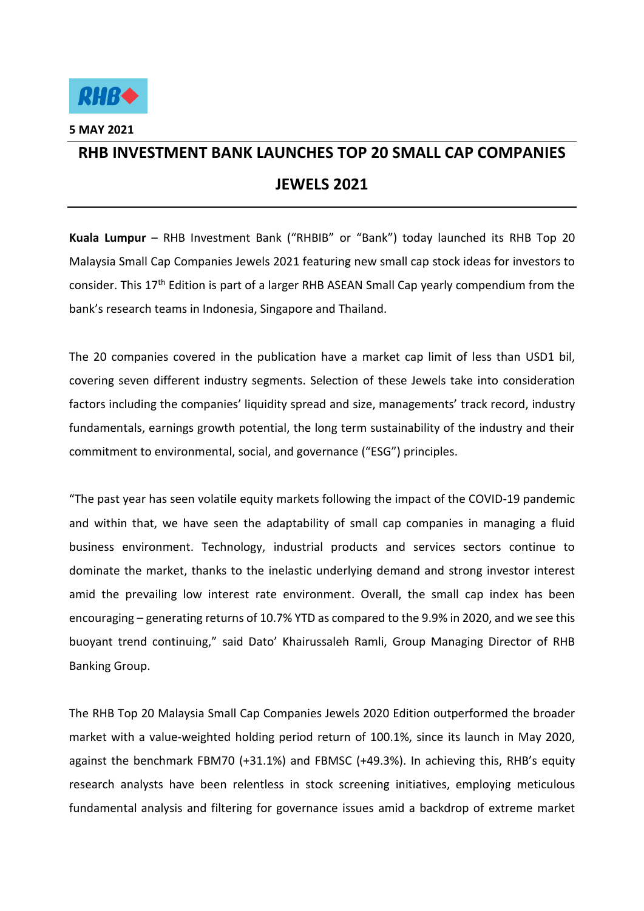

**5 MAY 2021** 

## **RHB INVESTMENT BANK LAUNCHES TOP 20 SMALL CAP COMPANIES JEWELS 2021**

**Kuala Lumpur** – RHB Investment Bank ("RHBIB" or "Bank") today launched its RHB Top 20 Malaysia Small Cap Companies Jewels 2021 featuring new small cap stock ideas for investors to consider. This 17<sup>th</sup> Edition is part of a larger RHB ASEAN Small Cap yearly compendium from the bank's research teams in Indonesia, Singapore and Thailand.

The 20 companies covered in the publication have a market cap limit of less than USD1 bil, covering seven different industry segments. Selection of these Jewels take into consideration factors including the companies' liquidity spread and size, managements' track record, industry fundamentals, earnings growth potential, the long term sustainability of the industry and their commitment to environmental, social, and governance ("ESG") principles.

"The past year has seen volatile equity markets following the impact of the COVID-19 pandemic and within that, we have seen the adaptability of small cap companies in managing a fluid business environment. Technology, industrial products and services sectors continue to dominate the market, thanks to the inelastic underlying demand and strong investor interest amid the prevailing low interest rate environment. Overall, the small cap index has been encouraging – generating returns of 10.7% YTD as compared to the 9.9% in 2020, and we see this buoyant trend continuing," said Dato' Khairussaleh Ramli, Group Managing Director of RHB Banking Group.

The RHB Top 20 Malaysia Small Cap Companies Jewels 2020 Edition outperformed the broader market with a value-weighted holding period return of 100.1%, since its launch in May 2020, against the benchmark FBM70 (+31.1%) and FBMSC (+49.3%). In achieving this, RHB's equity research analysts have been relentless in stock screening initiatives, employing meticulous fundamental analysis and filtering for governance issues amid a backdrop of extreme market